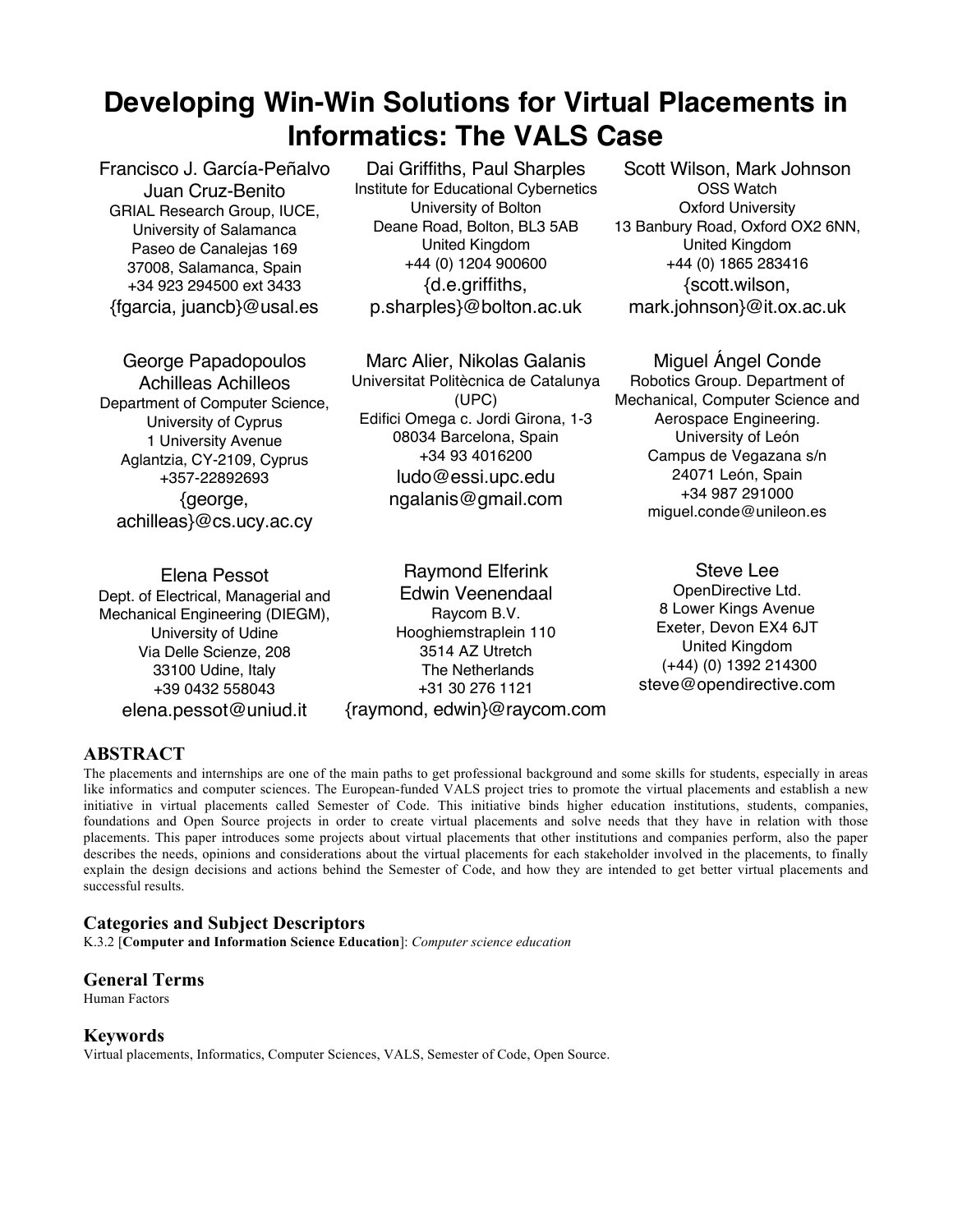# **Developing Win-Win Solutions for Virtual Placements in Informatics: The VALS Case**

Francisco J. García-Peñalvo Juan Cruz-Benito GRIAL Research Group, IUCE, University of Salamanca Paseo de Canalejas 169 37008, Salamanca, Spain +34 923 294500 ext 3433 {fgarcia, juancb}@usal.es

Dai Griffiths, Paul Sharples Institute for Educational Cybernetics University of Bolton Deane Road, Bolton, BL3 5AB United Kingdom +44 (0) 1204 900600 {d.e.griffiths, p.sharples}@bolton.ac.uk

George Papadopoulos Achilleas Achilleos Department of Computer Science, University of Cyprus 1 University Avenue Aglantzia, CY-2109, Cyprus +357-22892693 {george, achilleas}@cs.ucy.ac.cy

Marc Alier, Nikolas Galanis Universitat Politècnica de Catalunya (UPC) Edifici Omega c. Jordi Girona, 1-3 08034 Barcelona, Spain +34 93 4016200 ludo@essi.upc.edu ngalanis@gmail.com

Elena Pessot Dept. of Electrical, Managerial and Mechanical Engineering (DIEGM), University of Udine Via Delle Scienze, 208 33100 Udine, Italy +39 0432 558043 elena.pessot@uniud.it

Raymond Elferink Edwin Veenendaal Raycom B.V. Hooghiemstraplein 110 3514 AZ Utretch The Netherlands +31 30 276 1121 {raymond, edwin}@raycom.com

Scott Wilson, Mark Johnson OSS Watch Oxford University 13 Banbury Road, Oxford OX2 6NN, United Kingdom +44 (0) 1865 283416 {scott.wilson, mark.johnson}@it.ox.ac.uk

Miguel Ángel Conde Robotics Group. Department of Mechanical, Computer Science and Aerospace Engineering. University of León Campus de Vegazana s/n 24071 León, Spain +34 987 291000 miguel.conde@unileon.es

Steve Lee OpenDirective Ltd. 8 Lower Kings Avenue Exeter, Devon EX4 6JT United Kingdom (+44) (0) 1392 214300 steve@opendirective.com

# **ABSTRACT**

The placements and internships are one of the main paths to get professional background and some skills for students, especially in areas like informatics and computer sciences. The European-funded VALS project tries to promote the virtual placements and establish a new initiative in virtual placements called Semester of Code. This initiative binds higher education institutions, students, companies, foundations and Open Source projects in order to create virtual placements and solve needs that they have in relation with those placements. This paper introduces some projects about virtual placements that other institutions and companies perform, also the paper describes the needs, opinions and considerations about the virtual placements for each stakeholder involved in the placements, to finally explain the design decisions and actions behind the Semester of Code, and how they are intended to get better virtual placements and successful results.

# **Categories and Subject Descriptors**

K.3.2 [**Computer and Information Science Education**]: *Computer science education*

## **General Terms**

Human Factors

# **Keywords**

Virtual placements, Informatics, Computer Sciences, VALS, Semester of Code, Open Source.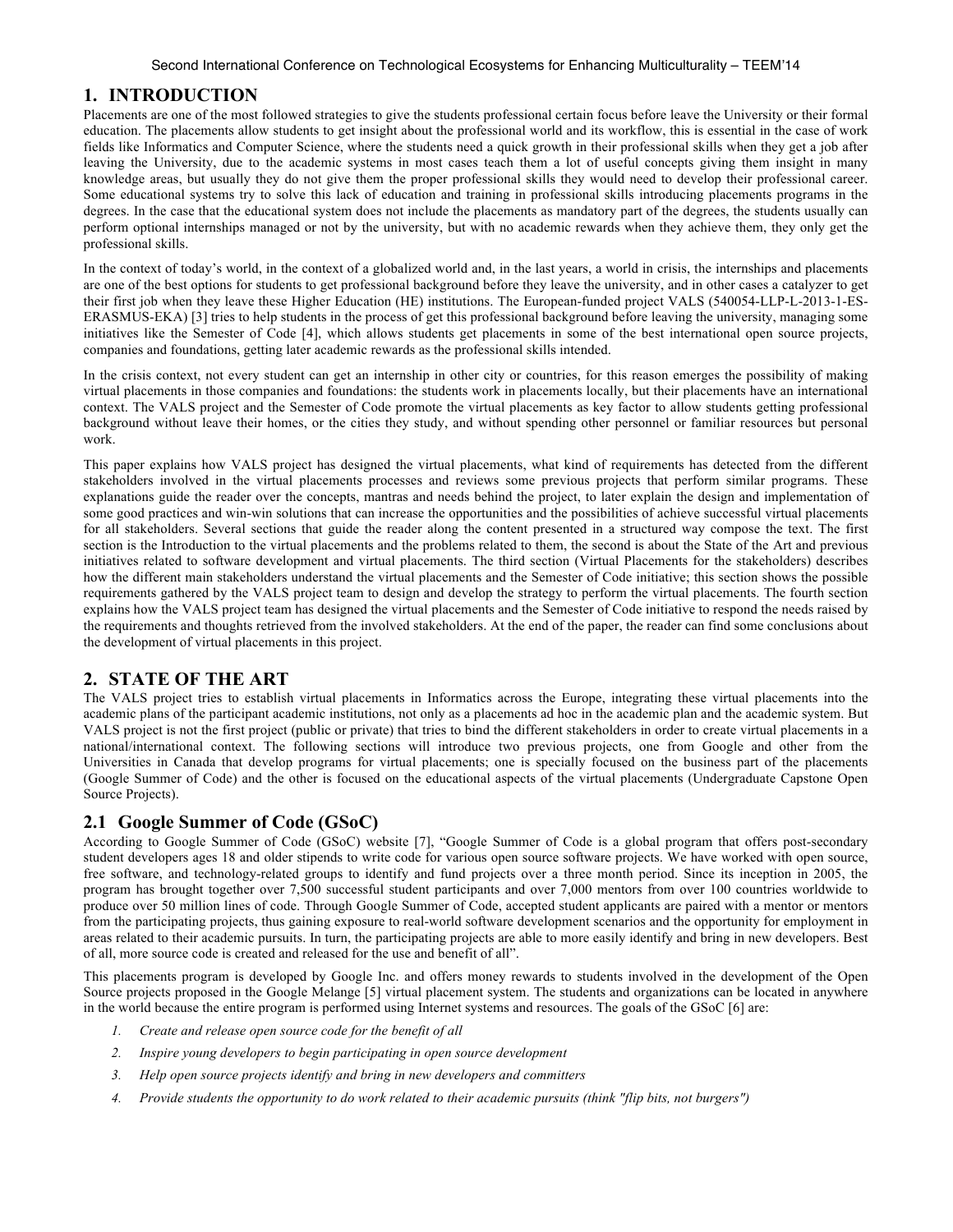# **1. INTRODUCTION**

Placements are one of the most followed strategies to give the students professional certain focus before leave the University or their formal education. The placements allow students to get insight about the professional world and its workflow, this is essential in the case of work fields like Informatics and Computer Science, where the students need a quick growth in their professional skills when they get a job after leaving the University, due to the academic systems in most cases teach them a lot of useful concepts giving them insight in many knowledge areas, but usually they do not give them the proper professional skills they would need to develop their professional career. Some educational systems try to solve this lack of education and training in professional skills introducing placements programs in the degrees. In the case that the educational system does not include the placements as mandatory part of the degrees, the students usually can perform optional internships managed or not by the university, but with no academic rewards when they achieve them, they only get the professional skills.

In the context of today's world, in the context of a globalized world and, in the last years, a world in crisis, the internships and placements are one of the best options for students to get professional background before they leave the university, and in other cases a catalyzer to get their first job when they leave these Higher Education (HE) institutions. The European-funded project VALS (540054-LLP-L-2013-1-ES-ERASMUS-EKA) [3] tries to help students in the process of get this professional background before leaving the university, managing some initiatives like the Semester of Code [4], which allows students get placements in some of the best international open source projects, companies and foundations, getting later academic rewards as the professional skills intended.

In the crisis context, not every student can get an internship in other city or countries, for this reason emerges the possibility of making virtual placements in those companies and foundations: the students work in placements locally, but their placements have an international context. The VALS project and the Semester of Code promote the virtual placements as key factor to allow students getting professional background without leave their homes, or the cities they study, and without spending other personnel or familiar resources but personal work.

This paper explains how VALS project has designed the virtual placements, what kind of requirements has detected from the different stakeholders involved in the virtual placements processes and reviews some previous projects that perform similar programs. These explanations guide the reader over the concepts, mantras and needs behind the project, to later explain the design and implementation of some good practices and win-win solutions that can increase the opportunities and the possibilities of achieve successful virtual placements for all stakeholders. Several sections that guide the reader along the content presented in a structured way compose the text. The first section is the Introduction to the virtual placements and the problems related to them, the second is about the State of the Art and previous initiatives related to software development and virtual placements. The third section (Virtual Placements for the stakeholders) describes how the different main stakeholders understand the virtual placements and the Semester of Code initiative; this section shows the possible requirements gathered by the VALS project team to design and develop the strategy to perform the virtual placements. The fourth section explains how the VALS project team has designed the virtual placements and the Semester of Code initiative to respond the needs raised by the requirements and thoughts retrieved from the involved stakeholders. At the end of the paper, the reader can find some conclusions about the development of virtual placements in this project.

# **2. STATE OF THE ART**

The VALS project tries to establish virtual placements in Informatics across the Europe, integrating these virtual placements into the academic plans of the participant academic institutions, not only as a placements ad hoc in the academic plan and the academic system. But VALS project is not the first project (public or private) that tries to bind the different stakeholders in order to create virtual placements in a national/international context. The following sections will introduce two previous projects, one from Google and other from the Universities in Canada that develop programs for virtual placements; one is specially focused on the business part of the placements (Google Summer of Code) and the other is focused on the educational aspects of the virtual placements (Undergraduate Capstone Open Source Projects).

## **2.1 Google Summer of Code (GSoC)**

According to Google Summer of Code (GSoC) website [7], "Google Summer of Code is a global program that offers post-secondary student developers ages 18 and older stipends to write code for various open source software projects. We have worked with open source, free software, and technology-related groups to identify and fund projects over a three month period. Since its inception in 2005, the program has brought together over 7,500 successful student participants and over 7,000 mentors from over 100 countries worldwide to produce over 50 million lines of code. Through Google Summer of Code, accepted student applicants are paired with a mentor or mentors from the participating projects, thus gaining exposure to real-world software development scenarios and the opportunity for employment in areas related to their academic pursuits. In turn, the participating projects are able to more easily identify and bring in new developers. Best of all, more source code is created and released for the use and benefit of all".

This placements program is developed by Google Inc. and offers money rewards to students involved in the development of the Open Source projects proposed in the Google Melange [5] virtual placement system. The students and organizations can be located in anywhere in the world because the entire program is performed using Internet systems and resources. The goals of the GSoC [6] are:

- *1. Create and release open source code for the benefit of all*
- *2. Inspire young developers to begin participating in open source development*
- *3. Help open source projects identify and bring in new developers and committers*
- *4. Provide students the opportunity to do work related to their academic pursuits (think "flip bits, not burgers")*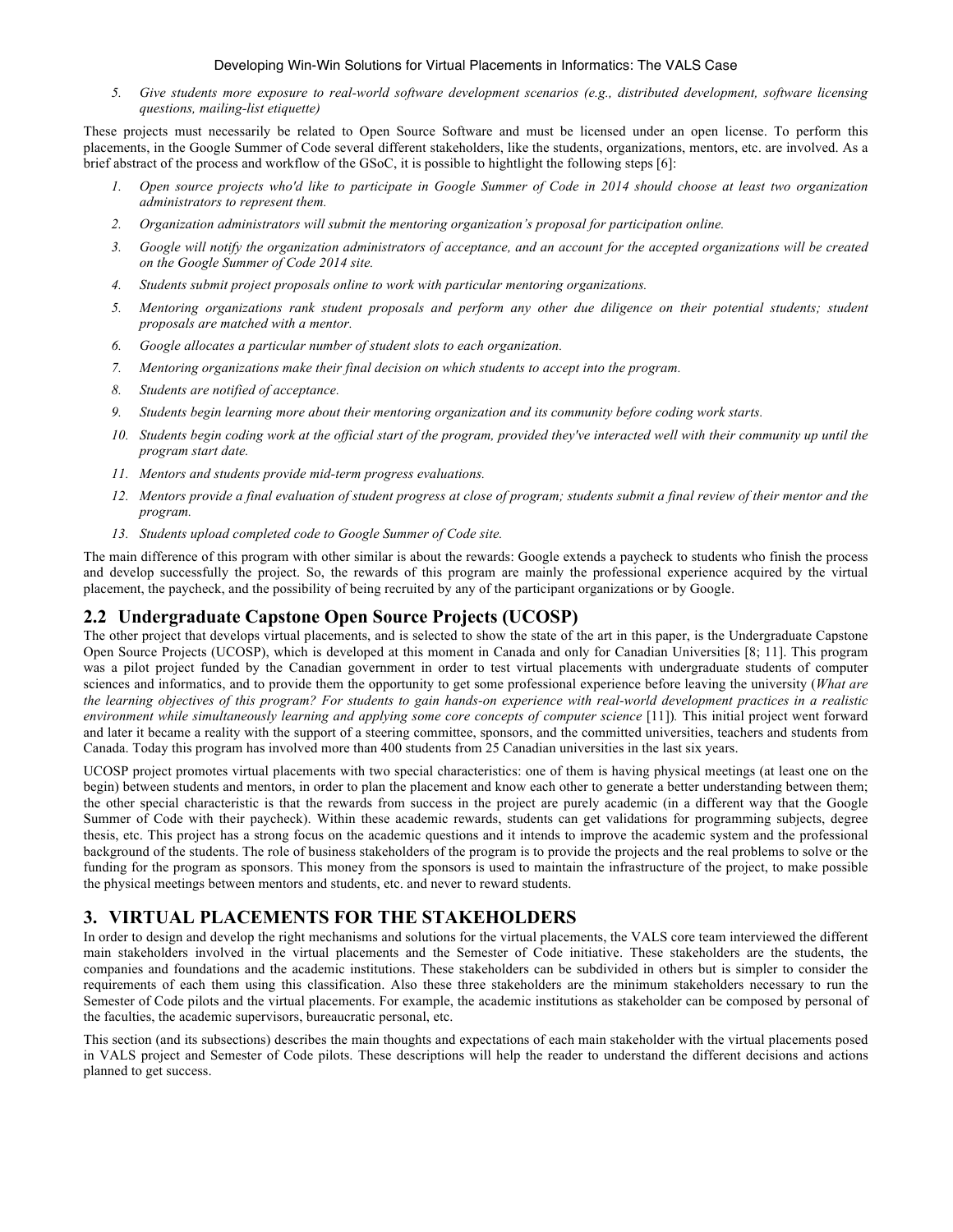#### Developing Win-Win Solutions for Virtual Placements in Informatics: The VALS Case

*5. Give students more exposure to real-world software development scenarios (e.g., distributed development, software licensing questions, mailing-list etiquette)*

These projects must necessarily be related to Open Source Software and must be licensed under an open license. To perform this placements, in the Google Summer of Code several different stakeholders, like the students, organizations, mentors, etc. are involved. As a brief abstract of the process and workflow of the GSoC, it is possible to hightlight the following steps [6]:

- *1. Open source projects who'd like to participate in Google Summer of Code in 2014 should choose at least two organization administrators to represent them.*
- *2. Organization administrators will submit the mentoring organization's proposal for participation online.*
- *3. Google will notify the organization administrators of acceptance, and an account for the accepted organizations will be created on the Google Summer of Code 2014 site.*
- *4. Students submit project proposals online to work with particular mentoring organizations.*
- *5. Mentoring organizations rank student proposals and perform any other due diligence on their potential students; student proposals are matched with a mentor.*
- *6. Google allocates a particular number of student slots to each organization.*
- *7. Mentoring organizations make their final decision on which students to accept into the program.*
- *8. Students are notified of acceptance.*
- *9. Students begin learning more about their mentoring organization and its community before coding work starts.*
- *10. Students begin coding work at the official start of the program, provided they've interacted well with their community up until the program start date.*
- *11. Mentors and students provide mid-term progress evaluations.*
- *12. Mentors provide a final evaluation of student progress at close of program; students submit a final review of their mentor and the program.*
- *13. Students upload completed code to Google Summer of Code site.*

The main difference of this program with other similar is about the rewards: Google extends a paycheck to students who finish the process and develop successfully the project. So, the rewards of this program are mainly the professional experience acquired by the virtual placement, the paycheck, and the possibility of being recruited by any of the participant organizations or by Google.

## **2.2 Undergraduate Capstone Open Source Projects (UCOSP)**

The other project that develops virtual placements, and is selected to show the state of the art in this paper, is the Undergraduate Capstone Open Source Projects (UCOSP), which is developed at this moment in Canada and only for Canadian Universities [8; 11]. This program was a pilot project funded by the Canadian government in order to test virtual placements with undergraduate students of computer sciences and informatics, and to provide them the opportunity to get some professional experience before leaving the university (*What are the learning objectives of this program? For students to gain hands-on experience with real-world development practices in a realistic environment while simultaneously learning and applying some core concepts of computer science* [11])*.* This initial project went forward and later it became a reality with the support of a steering committee, sponsors, and the committed universities, teachers and students from Canada. Today this program has involved more than 400 students from 25 Canadian universities in the last six years.

UCOSP project promotes virtual placements with two special characteristics: one of them is having physical meetings (at least one on the begin) between students and mentors, in order to plan the placement and know each other to generate a better understanding between them; the other special characteristic is that the rewards from success in the project are purely academic (in a different way that the Google Summer of Code with their paycheck). Within these academic rewards, students can get validations for programming subjects, degree thesis, etc. This project has a strong focus on the academic questions and it intends to improve the academic system and the professional background of the students. The role of business stakeholders of the program is to provide the projects and the real problems to solve or the funding for the program as sponsors. This money from the sponsors is used to maintain the infrastructure of the project, to make possible the physical meetings between mentors and students, etc. and never to reward students.

## **3. VIRTUAL PLACEMENTS FOR THE STAKEHOLDERS**

In order to design and develop the right mechanisms and solutions for the virtual placements, the VALS core team interviewed the different main stakeholders involved in the virtual placements and the Semester of Code initiative. These stakeholders are the students, the companies and foundations and the academic institutions. These stakeholders can be subdivided in others but is simpler to consider the requirements of each them using this classification. Also these three stakeholders are the minimum stakeholders necessary to run the Semester of Code pilots and the virtual placements. For example, the academic institutions as stakeholder can be composed by personal of the faculties, the academic supervisors, bureaucratic personal, etc.

This section (and its subsections) describes the main thoughts and expectations of each main stakeholder with the virtual placements posed in VALS project and Semester of Code pilots. These descriptions will help the reader to understand the different decisions and actions planned to get success.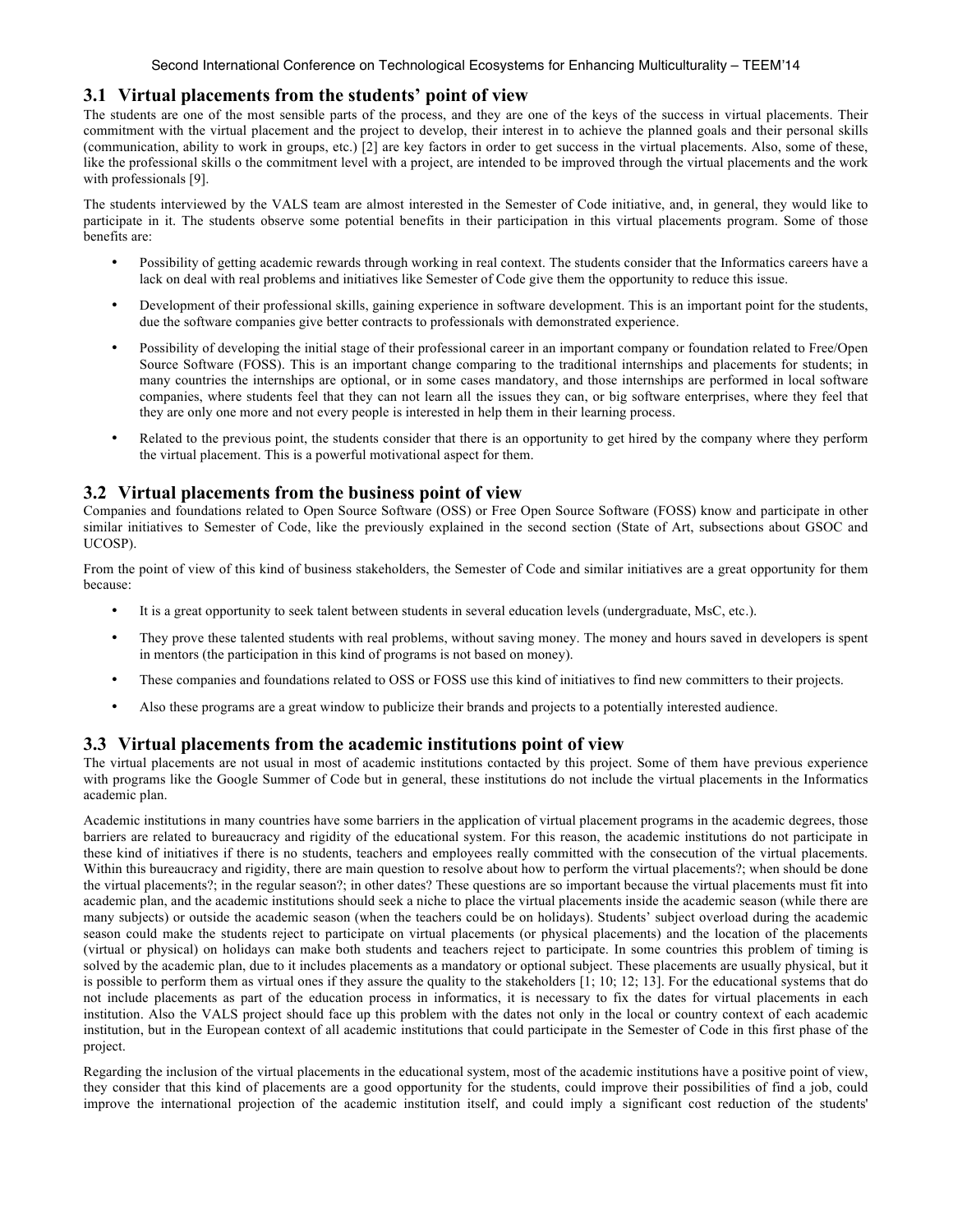## **3.1 Virtual placements from the students' point of view**

The students are one of the most sensible parts of the process, and they are one of the keys of the success in virtual placements. Their commitment with the virtual placement and the project to develop, their interest in to achieve the planned goals and their personal skills (communication, ability to work in groups, etc.) [2] are key factors in order to get success in the virtual placements. Also, some of these, like the professional skills o the commitment level with a project, are intended to be improved through the virtual placements and the work with professionals [9].

The students interviewed by the VALS team are almost interested in the Semester of Code initiative, and, in general, they would like to participate in it. The students observe some potential benefits in their participation in this virtual placements program. Some of those benefits are:

- Possibility of getting academic rewards through working in real context. The students consider that the Informatics careers have a lack on deal with real problems and initiatives like Semester of Code give them the opportunity to reduce this issue.
- Development of their professional skills, gaining experience in software development. This is an important point for the students, due the software companies give better contracts to professionals with demonstrated experience.
- Possibility of developing the initial stage of their professional career in an important company or foundation related to Free/Open Source Software (FOSS). This is an important change comparing to the traditional internships and placements for students; in many countries the internships are optional, or in some cases mandatory, and those internships are performed in local software companies, where students feel that they can not learn all the issues they can, or big software enterprises, where they feel that they are only one more and not every people is interested in help them in their learning process.
- Related to the previous point, the students consider that there is an opportunity to get hired by the company where they perform the virtual placement. This is a powerful motivational aspect for them.

## **3.2 Virtual placements from the business point of view**

Companies and foundations related to Open Source Software (OSS) or Free Open Source Software (FOSS) know and participate in other similar initiatives to Semester of Code, like the previously explained in the second section (State of Art, subsections about GSOC and UCOSP).

From the point of view of this kind of business stakeholders, the Semester of Code and similar initiatives are a great opportunity for them because:

- It is a great opportunity to seek talent between students in several education levels (undergraduate, MsC, etc.).
- They prove these talented students with real problems, without saving money. The money and hours saved in developers is spent in mentors (the participation in this kind of programs is not based on money).
- These companies and foundations related to OSS or FOSS use this kind of initiatives to find new committers to their projects.
- Also these programs are a great window to publicize their brands and projects to a potentially interested audience.

#### **3.3 Virtual placements from the academic institutions point of view**

The virtual placements are not usual in most of academic institutions contacted by this project. Some of them have previous experience with programs like the Google Summer of Code but in general, these institutions do not include the virtual placements in the Informatics academic plan.

Academic institutions in many countries have some barriers in the application of virtual placement programs in the academic degrees, those barriers are related to bureaucracy and rigidity of the educational system. For this reason, the academic institutions do not participate in these kind of initiatives if there is no students, teachers and employees really committed with the consecution of the virtual placements. Within this bureaucracy and rigidity, there are main question to resolve about how to perform the virtual placements?; when should be done the virtual placements?; in the regular season?; in other dates? These questions are so important because the virtual placements must fit into academic plan, and the academic institutions should seek a niche to place the virtual placements inside the academic season (while there are many subjects) or outside the academic season (when the teachers could be on holidays). Students' subject overload during the academic season could make the students reject to participate on virtual placements (or physical placements) and the location of the placements (virtual or physical) on holidays can make both students and teachers reject to participate. In some countries this problem of timing is solved by the academic plan, due to it includes placements as a mandatory or optional subject. These placements are usually physical, but it is possible to perform them as virtual ones if they assure the quality to the stakeholders [1; 10; 12; 13]. For the educational systems that do not include placements as part of the education process in informatics, it is necessary to fix the dates for virtual placements in each institution. Also the VALS project should face up this problem with the dates not only in the local or country context of each academic institution, but in the European context of all academic institutions that could participate in the Semester of Code in this first phase of the project.

Regarding the inclusion of the virtual placements in the educational system, most of the academic institutions have a positive point of view, they consider that this kind of placements are a good opportunity for the students, could improve their possibilities of find a job, could improve the international projection of the academic institution itself, and could imply a significant cost reduction of the students'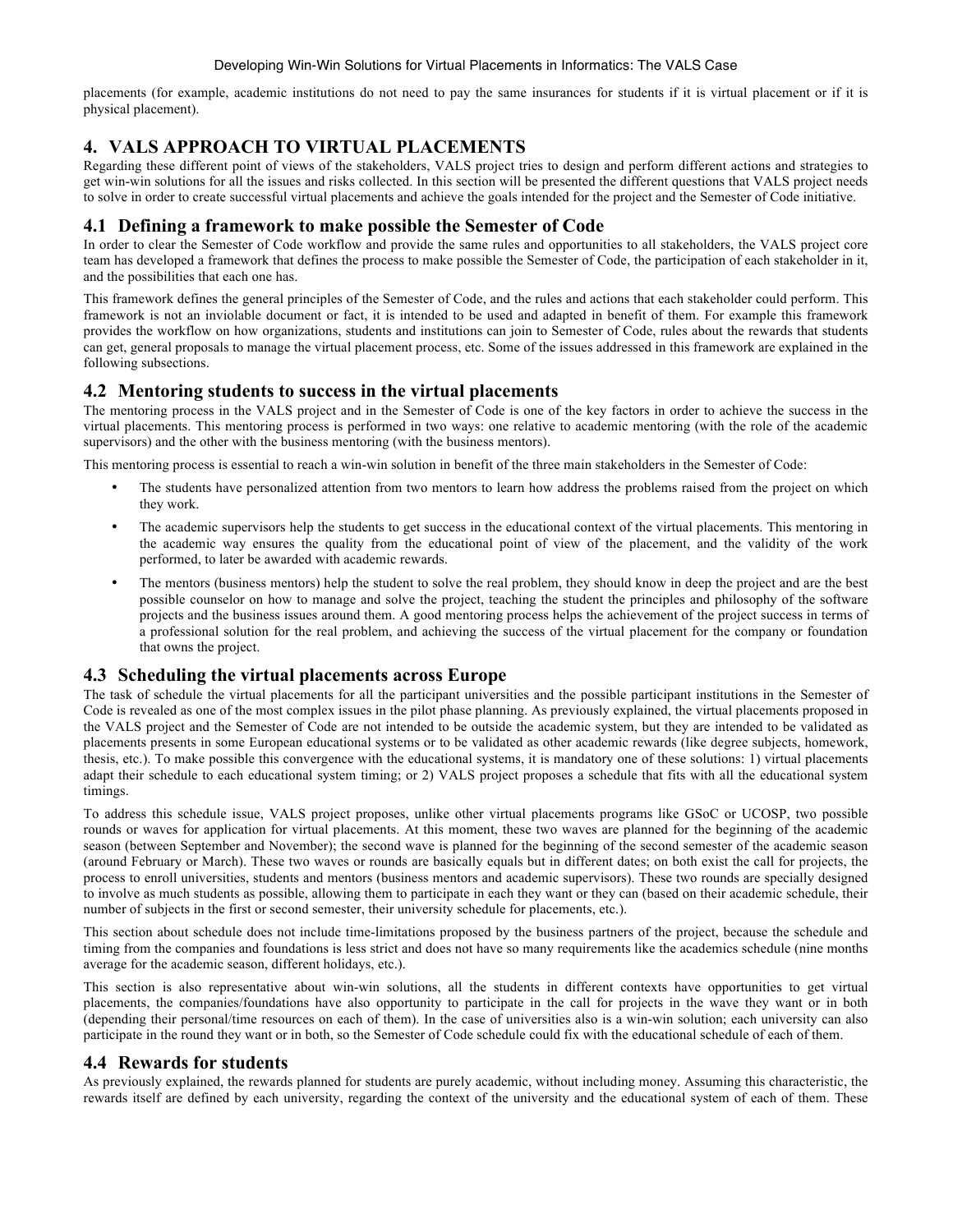placements (for example, academic institutions do not need to pay the same insurances for students if it is virtual placement or if it is physical placement).

# **4. VALS APPROACH TO VIRTUAL PLACEMENTS**

Regarding these different point of views of the stakeholders, VALS project tries to design and perform different actions and strategies to get win-win solutions for all the issues and risks collected. In this section will be presented the different questions that VALS project needs to solve in order to create successful virtual placements and achieve the goals intended for the project and the Semester of Code initiative.

# **4.1 Defining a framework to make possible the Semester of Code**

In order to clear the Semester of Code workflow and provide the same rules and opportunities to all stakeholders, the VALS project core team has developed a framework that defines the process to make possible the Semester of Code, the participation of each stakeholder in it, and the possibilities that each one has.

This framework defines the general principles of the Semester of Code, and the rules and actions that each stakeholder could perform. This framework is not an inviolable document or fact, it is intended to be used and adapted in benefit of them. For example this framework provides the workflow on how organizations, students and institutions can join to Semester of Code, rules about the rewards that students can get, general proposals to manage the virtual placement process, etc. Some of the issues addressed in this framework are explained in the following subsections.

# **4.2 Mentoring students to success in the virtual placements**

The mentoring process in the VALS project and in the Semester of Code is one of the key factors in order to achieve the success in the virtual placements. This mentoring process is performed in two ways: one relative to academic mentoring (with the role of the academic supervisors) and the other with the business mentoring (with the business mentors).

This mentoring process is essential to reach a win-win solution in benefit of the three main stakeholders in the Semester of Code:

- The students have personalized attention from two mentors to learn how address the problems raised from the project on which they work.
- The academic supervisors help the students to get success in the educational context of the virtual placements. This mentoring in the academic way ensures the quality from the educational point of view of the placement, and the validity of the work performed, to later be awarded with academic rewards.
- The mentors (business mentors) help the student to solve the real problem, they should know in deep the project and are the best possible counselor on how to manage and solve the project, teaching the student the principles and philosophy of the software projects and the business issues around them. A good mentoring process helps the achievement of the project success in terms of a professional solution for the real problem, and achieving the success of the virtual placement for the company or foundation that owns the project.

# **4.3 Scheduling the virtual placements across Europe**

The task of schedule the virtual placements for all the participant universities and the possible participant institutions in the Semester of Code is revealed as one of the most complex issues in the pilot phase planning. As previously explained, the virtual placements proposed in the VALS project and the Semester of Code are not intended to be outside the academic system, but they are intended to be validated as placements presents in some European educational systems or to be validated as other academic rewards (like degree subjects, homework, thesis, etc.). To make possible this convergence with the educational systems, it is mandatory one of these solutions: 1) virtual placements adapt their schedule to each educational system timing; or 2) VALS project proposes a schedule that fits with all the educational system timings.

To address this schedule issue, VALS project proposes, unlike other virtual placements programs like GSoC or UCOSP, two possible rounds or waves for application for virtual placements. At this moment, these two waves are planned for the beginning of the academic season (between September and November); the second wave is planned for the beginning of the second semester of the academic season (around February or March). These two waves or rounds are basically equals but in different dates; on both exist the call for projects, the process to enroll universities, students and mentors (business mentors and academic supervisors). These two rounds are specially designed to involve as much students as possible, allowing them to participate in each they want or they can (based on their academic schedule, their number of subjects in the first or second semester, their university schedule for placements, etc.).

This section about schedule does not include time-limitations proposed by the business partners of the project, because the schedule and timing from the companies and foundations is less strict and does not have so many requirements like the academics schedule (nine months average for the academic season, different holidays, etc.).

This section is also representative about win-win solutions, all the students in different contexts have opportunities to get virtual placements, the companies/foundations have also opportunity to participate in the call for projects in the wave they want or in both (depending their personal/time resources on each of them). In the case of universities also is a win-win solution; each university can also participate in the round they want or in both, so the Semester of Code schedule could fix with the educational schedule of each of them.

# **4.4 Rewards for students**

As previously explained, the rewards planned for students are purely academic, without including money. Assuming this characteristic, the rewards itself are defined by each university, regarding the context of the university and the educational system of each of them. These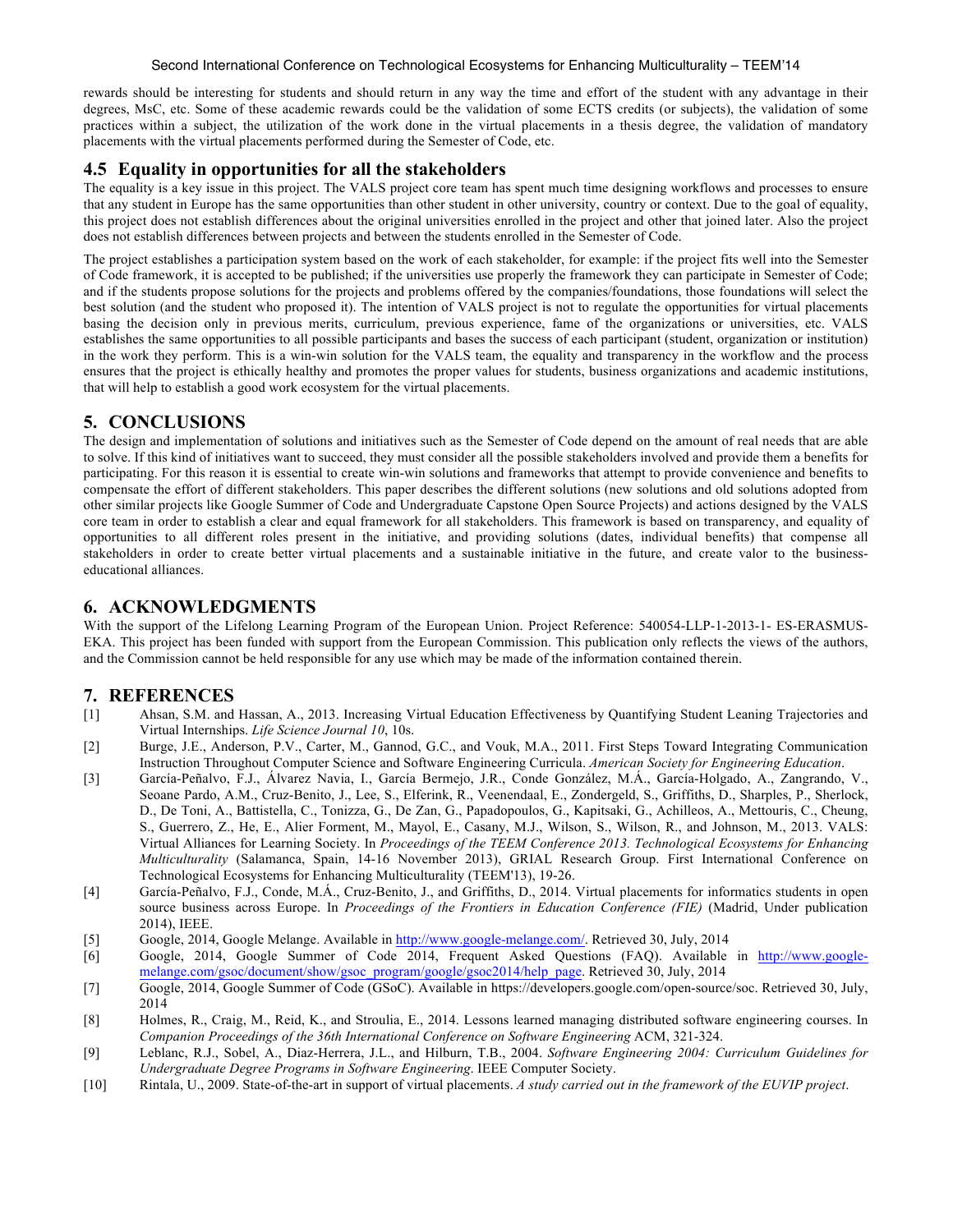#### Second International Conference on Technological Ecosystems for Enhancing Multiculturality – TEEM'14

rewards should be interesting for students and should return in any way the time and effort of the student with any advantage in their degrees, MsC, etc. Some of these academic rewards could be the validation of some ECTS credits (or subjects), the validation of some practices within a subject, the utilization of the work done in the virtual placements in a thesis degree, the validation of mandatory placements with the virtual placements performed during the Semester of Code, etc.

# **4.5 Equality in opportunities for all the stakeholders**

The equality is a key issue in this project. The VALS project core team has spent much time designing workflows and processes to ensure that any student in Europe has the same opportunities than other student in other university, country or context. Due to the goal of equality, this project does not establish differences about the original universities enrolled in the project and other that joined later. Also the project does not establish differences between projects and between the students enrolled in the Semester of Code.

The project establishes a participation system based on the work of each stakeholder, for example: if the project fits well into the Semester of Code framework, it is accepted to be published; if the universities use properly the framework they can participate in Semester of Code; and if the students propose solutions for the projects and problems offered by the companies/foundations, those foundations will select the best solution (and the student who proposed it). The intention of VALS project is not to regulate the opportunities for virtual placements basing the decision only in previous merits, curriculum, previous experience, fame of the organizations or universities, etc. VALS establishes the same opportunities to all possible participants and bases the success of each participant (student, organization or institution) in the work they perform. This is a win-win solution for the VALS team, the equality and transparency in the workflow and the process ensures that the project is ethically healthy and promotes the proper values for students, business organizations and academic institutions, that will help to establish a good work ecosystem for the virtual placements.

# **5. CONCLUSIONS**

The design and implementation of solutions and initiatives such as the Semester of Code depend on the amount of real needs that are able to solve. If this kind of initiatives want to succeed, they must consider all the possible stakeholders involved and provide them a benefits for participating. For this reason it is essential to create win-win solutions and frameworks that attempt to provide convenience and benefits to compensate the effort of different stakeholders. This paper describes the different solutions (new solutions and old solutions adopted from other similar projects like Google Summer of Code and Undergraduate Capstone Open Source Projects) and actions designed by the VALS core team in order to establish a clear and equal framework for all stakeholders. This framework is based on transparency, and equality of opportunities to all different roles present in the initiative, and providing solutions (dates, individual benefits) that compense all stakeholders in order to create better virtual placements and a sustainable initiative in the future, and create valor to the businesseducational alliances.

# **6. ACKNOWLEDGMENTS**

With the support of the Lifelong Learning Program of the European Union. Project Reference: 540054-LLP-1-2013-1- ES-ERASMUS-EKA. This project has been funded with support from the European Commission. This publication only reflects the views of the authors, and the Commission cannot be held responsible for any use which may be made of the information contained therein.

## **7. REFERENCES**

- [1] Ahsan, S.M. and Hassan, A., 2013. Increasing Virtual Education Effectiveness by Quantifying Student Leaning Trajectories and Virtual Internships. *Life Science Journal 10*, 10s.
- [2] Burge, J.E., Anderson, P.V., Carter, M., Gannod, G.C., and Vouk, M.A., 2011. First Steps Toward Integrating Communication Instruction Throughout Computer Science and Software Engineering Curricula. *American Society for Engineering Education*.
- [3] García-Peñalvo, F.J., Álvarez Navia, I., García Bermejo, J.R., Conde González, M.Á., García-Holgado, A., Zangrando, V., Seoane Pardo, A.M., Cruz-Benito, J., Lee, S., Elferink, R., Veenendaal, E., Zondergeld, S., Griffiths, D., Sharples, P., Sherlock, D., De Toni, A., Battistella, C., Tonizza, G., De Zan, G., Papadopoulos, G., Kapitsaki, G., Achilleos, A., Mettouris, C., Cheung, S., Guerrero, Z., He, E., Alier Forment, M., Mayol, E., Casany, M.J., Wilson, S., Wilson, R., and Johnson, M., 2013. VALS: Virtual Alliances for Learning Society. In *Proceedings of the TEEM Conference 2013. Technological Ecosystems for Enhancing Multiculturality* (Salamanca, Spain, 14-16 November 2013), GRIAL Research Group. First International Conference on Technological Ecosystems for Enhancing Multiculturality (TEEM'13), 19-26.
- [4] García-Peñalvo, F.J., Conde, M.Á., Cruz-Benito, J., and Griffiths, D., 2014. Virtual placements for informatics students in open source business across Europe. In *Proceedings of the Frontiers in Education Conference (FIE)* (Madrid, Under publication 2014), IEEE.
- [5] Google, 2014, Google Melange. Available in http://www.google-melange.com/. Retrieved 30, July, 2014
- [6] Google, 2014, Google Summer of Code 2014, Frequent Asked Questions (FAQ). Available in http://www.googlemelange.com/gsoc/document/show/gsoc\_program/google/gsoc2014/help\_page. Retrieved 30, July, 2014
- [7] Google, 2014, Google Summer of Code (GSoC). Available in https://developers.google.com/open-source/soc. Retrieved 30, July, 2014
- [8] Holmes, R., Craig, M., Reid, K., and Stroulia, E., 2014. Lessons learned managing distributed software engineering courses. In *Companion Proceedings of the 36th International Conference on Software Engineering* ACM, 321-324.
- [9] Leblanc, R.J., Sobel, A., Diaz-Herrera, J.L., and Hilburn, T.B., 2004. *Software Engineering 2004: Curriculum Guidelines for Undergraduate Degree Programs in Software Engineering*. IEEE Computer Society.
- [10] Rintala, U., 2009. State-of-the-art in support of virtual placements. *A study carried out in the framework of the EUVIP project*.